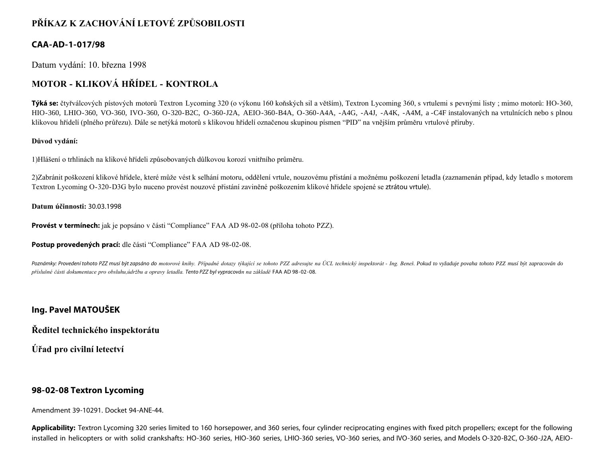# **PŘÍKAZ K ZACHOVÁNÍ LETOVÉ ZPŮSOBILOSTI**

### **CAA-AD-1-017/98**

Datum vydání: 10. března 1998

# **MOTOR - KLIKOVÁ HŘÍDEL - KONTROLA**

**Týká se:** čtyřválcových pístových motorů Textron Lycoming 320 (o výkonu 160 koňských sil a větším), Textron Lycoming 360, s vrtulemi s pevnými listy ; mimo motorů: HO-360, HIO-360, LHIO-360, VO-360, IVO-360, O-320-B2C, O-360-J2A, AEIO-360-B4A, O-360-A4A, -A4G, -A4J, -A4K, -A4M, a -C4F instalovaných na vrtulnících nebo s plnou klikovou hřídelí (plného průřezu). Dále se netýká motorů s klikovou hřídelí označenou skupinou písmen "PID" na vnějším průměru vrtulové příruby.

#### **Důvod vydání:**

1)Hlášení o trhlinách na klikové hřídeli způsobovaných důlkovou korozí vnitřního průměru.

2)Zabránit poškození klikové hřídele, které může vést k selhání motoru, oddělení vrtule, nouzovému přistání a možnému poškození letadla (zaznamenán případ, kdy letadlo s motorem Textron Lycoming O-320-D3G bylo nuceno provést nouzové přistání zaviněné poškozením klikové hřídele spojené se ztrátou vrtule).

#### **Datum účinnosti:** 30.03.1998

**Provést v termínech:** jak je popsáno v části "Compliance" FAA AD 98-02-08 (příloha tohoto PZZ).

**Postup provedených prací:** dle části "Compliance" FAA AD 98-02-08.

Poznámky: Provedení tohoto PZZ musí být zapsáno do motorové knihy. Případné dotazy týkající se tohoto PZZ adresujte na ÚCL technický inspektorát - Ing. Beneš. Pokud to vyžaduje povaha tohoto PZZ musí být zapracován do *příslušné části dokumentace pro obsluhu,údržbu a opravy letadla. Tento PZZ byl vypracován na základě* FAA AD 98-02-08.

## **Ing. Pavel MATOUŠEK**

**Ředitel technického inspektorátu**

**Úřad pro civilní letectví**

#### **98-02-08 Textron Lycoming**

Amendment 39-10291. Docket 94-ANE-44.

**Applicability:** Textron Lycoming 320 series limited to 160 horsepower, and 360 series, four cylinder reciprocating engines with fixed pitch propellers; except for the following installed in helicopters or with solid crankshafts: HO-360 series, HIO-360 series, LHIO-360 series, VO-360 series, and IVO-360 series, and Models O-320-B2C, O-360-J2A, AEIO-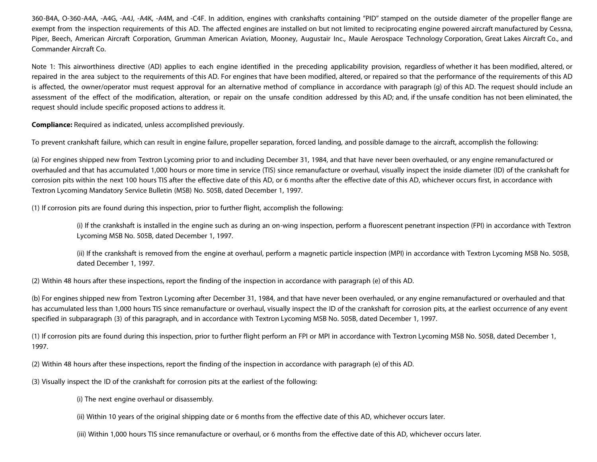360-B4A, O-360-A4A, -A4G, -A4J, -A4K, -A4M, and -C4F. In addition, engines with crankshafts containing "PID" stamped on the outside diameter of the propeller flange are exempt from the inspection requirements of this AD. The affected engines are installed on but not limited to reciprocating engine powered aircraft manufactured by Cessna, Piper, Beech, American Aircraft Corporation, Grumman American Aviation, Mooney, Augustair Inc., Maule Aerospace Technology Corporation, Great Lakes Aircraft Co., and Commander Aircraft Co.

Note 1: This airworthiness directive (AD) applies to each engine identified in the preceding applicability provision, regardless of whether it has been modified, altered, or repaired in the area subject to the requirements of this AD. For engines that have been modified, altered, or repaired so that the performance of the requirements of this AD is affected, the owner/operator must request approval for an alternative method of compliance in accordance with paragraph (g) of this AD. The request should include an assessment of the effect of the modification, alteration, or repair on the unsafe condition addressed by this AD; and, if the unsafe condition has not been eliminated, the request should include specific proposed actions to address it.

**Compliance:** Required as indicated, unless accomplished previously.

To prevent crankshaft failure, which can result in engine failure, propeller separation, forced landing, and possible damage to the aircraft, accomplish the following:

(a) For engines shipped new from Textron Lycoming prior to and including December 31, 1984, and that have never been overhauled, or any engine remanufactured or overhauled and that has accumulated 1,000 hours or more time in service (TIS) since remanufacture or overhaul, visually inspect the inside diameter (ID) of the crankshaft for corrosion pits within the next 100 hours TIS after the effective date of this AD, or 6 months after the effective date of this AD, whichever occurs first, in accordance with Textron Lycoming Mandatory Service Bulletin (MSB) No. 505B, dated December 1, 1997.

(1) If corrosion pits are found during this inspection, prior to further flight, accomplish the following:

(i) If the crankshaft is installed in the engine such as during an on-wing inspection, perform a fluorescent penetrant inspection (FPI) in accordance with Textron Lycoming MSB No. 505B, dated December 1, 1997.

(ii) If the crankshaft is removed from the engine at overhaul, perform a magnetic particle inspection (MPI) in accordance with Textron Lycoming MSB No. 505B, dated December 1, 1997.

(2) Within 48 hours after these inspections, report the finding of the inspection in accordance with paragraph (e) of this AD.

(b) For engines shipped new from Textron Lycoming after December 31, 1984, and that have never been overhauled, or any engine remanufactured or overhauled and that has accumulated less than 1,000 hours TIS since remanufacture or overhaul, visually inspect the ID of the crankshaft for corrosion pits, at the earliest occurrence of any event specified in subparagraph (3) of this paragraph, and in accordance with Textron Lycoming MSB No. 505B, dated December 1, 1997.

(1) If corrosion pits are found during this inspection, prior to further flight perform an FPI or MPI in accordance with Textron Lycoming MSB No. 505B, dated December 1, 1997.

(2) Within 48 hours after these inspections, report the finding of the inspection in accordance with paragraph (e) of this AD.

(3) Visually inspect the ID of the crankshaft for corrosion pits at the earliest of the following:

(i) The next engine overhaul or disassembly.

(ii) Within 10 years of the original shipping date or 6 months from the effective date of this AD, whichever occurs later.

(iii) Within 1,000 hours TIS since remanufacture or overhaul, or 6 months from the effective date of this AD, whichever occurs later.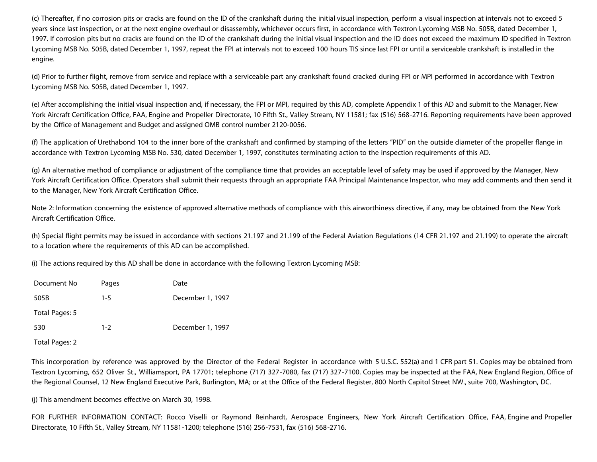(c) Thereafter, if no corrosion pits or cracks are found on the ID of the crankshaft during the initial visual inspection, perform a visual inspection at intervals not to exceed 5 years since last inspection, or at the next engine overhaul or disassembly, whichever occurs first, in accordance with Textron Lycoming MSB No. 505B, dated December 1, 1997. If corrosion pits but no cracks are found on the ID of the crankshaft during the initial visual inspection and the ID does not exceed the maximum ID specified in Textron Lycoming MSB No. 505B, dated December 1, 1997, repeat the FPI at intervals not to exceed 100 hours TIS since last FPI or until a serviceable crankshaft is installed in the engine.

(d) Prior to further flight, remove from service and replace with a serviceable part any crankshaft found cracked during FPI or MPI performed in accordance with Textron Lycoming MSB No. 505B, dated December 1, 1997.

(e) After accomplishing the initial visual inspection and, if necessary, the FPI or MPI, required by this AD, complete Appendix 1 of this AD and submit to the Manager, New York Aircraft Certification Office, FAA, Engine and Propeller Directorate, 10 Fifth St., Valley Stream, NY 11581; fax (516) 568-2716. Reporting requirements have been approved by the Office of Management and Budget and assigned OMB control number 2120-0056.

(f) The application of Urethabond 104 to the inner bore of the crankshaft and confirmed by stamping of the letters "PID" on the outside diameter of the propeller flange in accordance with Textron Lycoming MSB No. 530, dated December 1, 1997, constitutes terminating action to the inspection requirements of this AD.

(g) An alternative method of compliance or adjustment of the compliance time that provides an acceptable level of safety may be used if approved by the Manager, New York Aircraft Certification Office. Operators shall submit their requests through an appropriate FAA Principal Maintenance Inspector, who may add comments and then send it to the Manager, New York Aircraft Certification Office.

Note 2: Information concerning the existence of approved alternative methods of compliance with this airworthiness directive, if any, may be obtained from the New York Aircraft Certification Office.

(h) Special flight permits may be issued in accordance with sections 21.197 and 21.199 of the Federal Aviation Regulations (14 CFR 21.197 and 21.199) to operate the aircraft to a location where the requirements of this AD can be accomplished.

(i) The actions required by this AD shall be done in accordance with the following Textron Lycoming MSB:

| Document No    | Pages   | Date             |
|----------------|---------|------------------|
| 505B           | $1 - 5$ | December 1, 1997 |
| Total Pages: 5 |         |                  |
| 530            | $1 - 2$ | December 1, 1997 |
| Total Pages: 2 |         |                  |

This incorporation by reference was approved by the Director of the Federal Register in accordance with 5 U.S.C. 552(a) and 1 CFR part 51. Copies may be obtained from Textron Lycoming, 652 Oliver St., Williamsport, PA 17701; telephone (717) 327-7080, fax (717) 327-7100. Copies may be inspected at the FAA, New England Region, Office of the Regional Counsel, 12 New England Executive Park, Burlington, MA; or at the Office of the Federal Register, 800 North Capitol Street NW., suite 700, Washington, DC.

(j) This amendment becomes effective on March 30, 1998.

FOR FURTHER INFORMATION CONTACT: Rocco Viselli or Raymond Reinhardt, Aerospace Engineers, New York Aircraft Certification Office, FAA, Engine and Propeller Directorate, 10 Fifth St., Valley Stream, NY 11581-1200; telephone (516) 256-7531, fax (516) 568-2716.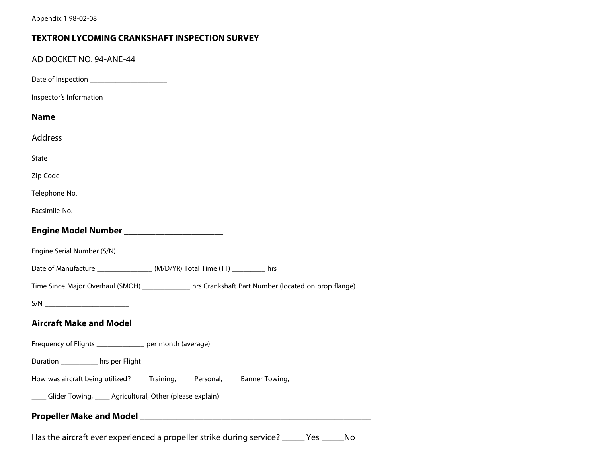## **TEXTRON LYCOMING CRANKSHAFT INSPECTION SURVEY**

|  | AD DOCKET NO. 94-ANE-44                                                                             |
|--|-----------------------------------------------------------------------------------------------------|
|  |                                                                                                     |
|  | Inspector's Information                                                                             |
|  | <b>Name</b>                                                                                         |
|  | Address                                                                                             |
|  | State                                                                                               |
|  | Zip Code                                                                                            |
|  | Telephone No.                                                                                       |
|  | Facsimile No.                                                                                       |
|  | Engine Model Number ________________________                                                        |
|  | Engine Serial Number (S/N) ______________________________                                           |
|  |                                                                                                     |
|  | Time Since Major Overhaul (SMOH) ______________ hrs Crankshaft Part Number (located on prop flange) |
|  | S/N                                                                                                 |
|  |                                                                                                     |
|  | Frequency of Flights ______________ per month (average)                                             |
|  | Duration ___________ hrs per Flight                                                                 |
|  | How was aircraft being utilized? ____ Training, ____ Personal, ____ Banner Towing,                  |
|  | ____ Glider Towing, ____ Agricultural, Other (please explain)                                       |
|  |                                                                                                     |